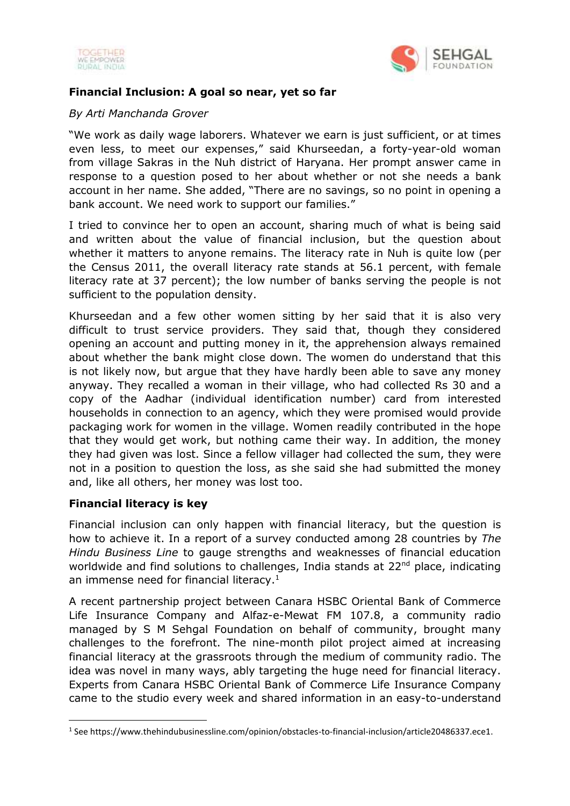



## **Financial Inclusion: A goal so near, yet so far**

## *By Arti Manchanda Grover*

"We work as daily wage laborers. Whatever we earn is just sufficient, or at times even less, to meet our expenses," said Khurseedan, a forty-year-old woman from village Sakras in the Nuh district of Haryana. Her prompt answer came in response to a question posed to her about whether or not she needs a bank account in her name. She added, "There are no savings, so no point in opening a bank account. We need work to support our families."

I tried to convince her to open an account, sharing much of what is being said and written about the value of financial inclusion, but the question about whether it matters to anyone remains. The literacy rate in Nuh is quite low (per the Census 2011, the overall literacy rate stands at 56.1 percent, with female literacy rate at 37 percent); the low number of banks serving the people is not sufficient to the population density.

Khurseedan and a few other women sitting by her said that it is also very difficult to trust service providers. They said that, though they considered opening an account and putting money in it, the apprehension always remained about whether the bank might close down. The women do understand that this is not likely now, but argue that they have hardly been able to save any money anyway. They recalled a woman in their village, who had collected Rs 30 and a copy of the Aadhar (individual identification number) card from interested households in connection to an agency, which they were promised would provide packaging work for women in the village. Women readily contributed in the hope that they would get work, but nothing came their way. In addition, the money they had given was lost. Since a fellow villager had collected the sum, they were not in a position to question the loss, as she said she had submitted the money and, like all others, her money was lost too.

## **Financial literacy is key**

**.** 

Financial inclusion can only happen with financial literacy, but the question is how to achieve it. In a report of a survey conducted among 28 countries by *The Hindu Business Line* to gauge strengths and weaknesses of financial education worldwide and find solutions to challenges, India stands at 22<sup>nd</sup> place, indicating an immense need for financial literacy.<sup>1</sup>

A recent partnership project between Canara HSBC Oriental Bank of Commerce Life Insurance Company and Alfaz-e-Mewat FM 107.8, a community radio managed by S M Sehgal Foundation on behalf of community, brought many challenges to the forefront. The nine-month pilot project aimed at increasing financial literacy at the grassroots through the medium of community radio. The idea was novel in many ways, ably targeting the huge need for financial literacy. Experts from Canara HSBC Oriental Bank of Commerce Life Insurance Company came to the studio every week and shared information in an easy-to-understand

<sup>&</sup>lt;sup>1</sup> See https://www.thehindubusinessline.com/opinion/obstacles-to-financial-inclusion/article20486337.ece1.